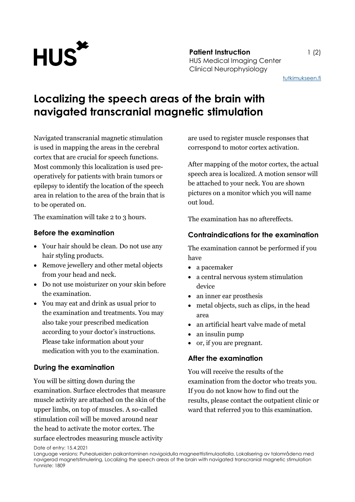

[tutkimukseen.fi](http://www.tutkimukseen.fi/)

# **Localizing the speech areas of the brain with navigated transcranial magnetic stimulation**

Navigated transcranial magnetic stimulation is used in mapping the areas in the cerebral cortex that are crucial for speech functions. Most commonly this localization is used preoperatively for patients with brain tumors or epilepsy to identify the location of the speech area in relation to the area of the brain that is to be operated on.

The examination will take 2 to 3 hours.

### **Before the examination**

- Your hair should be clean. Do not use any hair styling products.
- Remove jewellery and other metal objects from your head and neck.
- Do not use moisturizer on your skin before the examination.
- You may eat and drink as usual prior to the examination and treatments. You may also take your prescribed medication according to your doctor's instructions. Please take information about your medication with you to the examination.

# **During the examination**

You will be sitting down during the examination. Surface electrodes that measure muscle activity are attached on the skin of the upper limbs, on top of muscles. A so-called stimulation coil will be moved around near the head to activate the motor cortex. The surface electrodes measuring muscle activity

are used to register muscle responses that correspond to motor cortex activation.

After mapping of the motor cortex, the actual speech area is localized. A motion sensor will be attached to your neck. You are shown pictures on a monitor which you will name out loud.

The examination has no aftereffects.

## **Contraindications for the examination**

The examination cannot be performed if you have

- a pacemaker
- a central nervous system stimulation device
- an inner ear prosthesis
- metal objects, such as clips, in the head area
- an artificial heart valve made of metal
- an insulin pump
- or, if you are pregnant.

### **After the examination**

You will receive the results of the examination from the doctor who treats you. If you do not know how to find out the results, please contact the outpatient clinic or ward that referred you to this examination.

Date of entry: 15.4.2021

Language versions: Puhealueiden paikantaminen navigoidulla magneettistimulaatiolla, Lokalisering av talområdena med navigerad magnetstimulering, Localizing the speech areas of the brain with navigated transcranial magnetic stimulation Tunniste: 1809